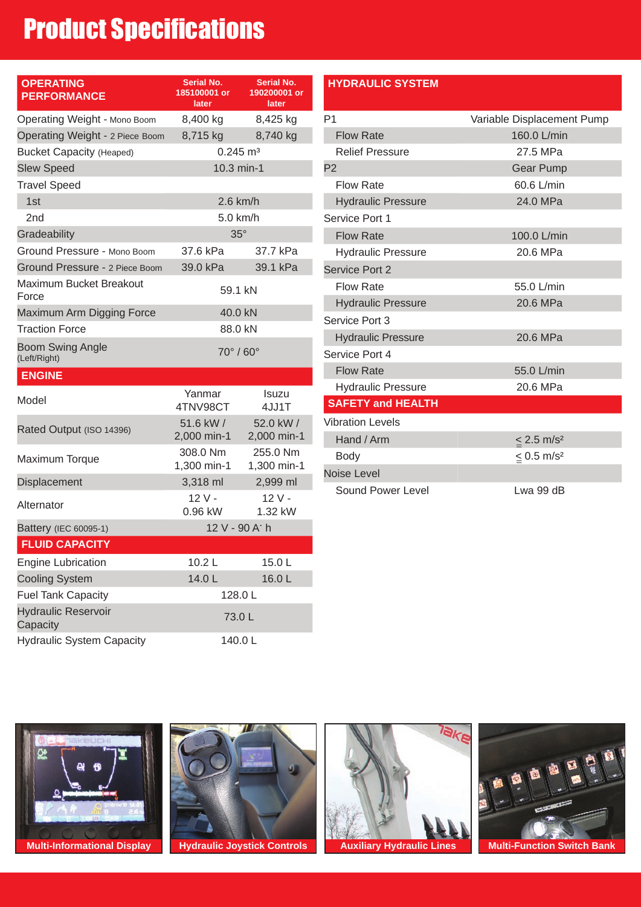### Product Specifications

| <b>OPERATING</b><br><b>PERFORMANCE</b>  | Serial No.<br>185100001 or<br>later | Serial No.<br>190200001 or<br>later |  |
|-----------------------------------------|-------------------------------------|-------------------------------------|--|
| Operating Weight - Mono Boom            | 8,400 kg                            | 8,425 kg                            |  |
| Operating Weight - 2 Piece Boom         | 8,715 kg                            | 8,740 kg                            |  |
| <b>Bucket Capacity (Heaped)</b>         | $0.245 \text{ m}^3$                 |                                     |  |
| <b>Slew Speed</b>                       | 10.3 min-1                          |                                     |  |
| <b>Travel Speed</b>                     |                                     |                                     |  |
| 1st                                     | $2.6$ km/h                          |                                     |  |
| 2 <sub>nd</sub>                         | 5.0 km/h                            |                                     |  |
| Gradeability                            | $35^\circ$                          |                                     |  |
| Ground Pressure - Mono Boom             | 37.6 kPa                            | 37.7 kPa                            |  |
| Ground Pressure - 2 Piece Boom          | 39.0 kPa                            | 39.1 kPa                            |  |
| Maximum Bucket Breakout<br>Force        | 59.1 kN                             |                                     |  |
| Maximum Arm Digging Force               | 40.0 kN                             |                                     |  |
| <b>Traction Force</b>                   | 88.0 kN                             |                                     |  |
| <b>Boom Swing Angle</b><br>(Left/Right) | $70^\circ/60^\circ$                 |                                     |  |
| <b>ENGINE</b>                           |                                     |                                     |  |
| Model                                   | Yanmar<br>4TNV98CT                  | <b>Isuzu</b><br>4JJ1T               |  |
| Rated Output (ISO 14396)                | 51.6 kW /<br>2,000 min-1            | 52.0 kW /<br>2,000 min-1            |  |
| <b>Maximum Torque</b>                   | 308.0 Nm<br>1,300 min-1             | 255.0 Nm<br>1,300 min-1             |  |
| Displacement                            | 3,318 ml                            | 2,999 ml                            |  |
| Alternator                              | $12V -$<br>0.96 kW                  | $12V -$<br>1.32 kW                  |  |
| Battery (IEC 60095-1)                   | 12 V - 90 A' h                      |                                     |  |
| <b>FLUID CAPACITY</b>                   |                                     |                                     |  |
| <b>Engine Lubrication</b>               | 10.2 <sub>L</sub>                   | 15.0L                               |  |
| <b>Cooling System</b>                   | 14.0L                               | 16.0L                               |  |
| <b>Fuel Tank Capacity</b>               | 128.0L                              |                                     |  |
| <b>Hydraulic Reservoir</b><br>Capacity  | 73.0L                               |                                     |  |
| <b>Hydraulic System Capacity</b>        | 140.0L                              |                                     |  |

#### **HYDRAULIC SYSTEM**

| P1                        | Variable Displacement Pump  |  |  |
|---------------------------|-----------------------------|--|--|
| <b>Flow Rate</b>          | 160.0 L/min                 |  |  |
| <b>Relief Pressure</b>    | 27.5 MPa                    |  |  |
| P <sub>2</sub>            | <b>Gear Pump</b>            |  |  |
| <b>Flow Rate</b>          | 60.6 L/min                  |  |  |
| <b>Hydraulic Pressure</b> | 24.0 MPa                    |  |  |
| Service Port 1            |                             |  |  |
| <b>Flow Rate</b>          | 100.0 L/min                 |  |  |
| <b>Hydraulic Pressure</b> | 20.6 MPa                    |  |  |
| Service Port 2            |                             |  |  |
| <b>Flow Rate</b>          | 55.0 L/min                  |  |  |
| <b>Hydraulic Pressure</b> | 20.6 MPa                    |  |  |
| Service Port 3            |                             |  |  |
| <b>Hydraulic Pressure</b> | 20.6 MPa                    |  |  |
| Service Port 4            |                             |  |  |
| <b>Flow Rate</b>          | 55.0 L/min                  |  |  |
| <b>Hydraulic Pressure</b> | 20.6 MPa                    |  |  |
| <b>SAFETY and HEALTH</b>  |                             |  |  |
| <b>Vibration Levels</b>   |                             |  |  |
| Hand / Arm                | $\leq$ 2.5 m/s <sup>2</sup> |  |  |
| <b>Body</b>               | $\leq 0.5$ m/s <sup>2</sup> |  |  |
| <b>Noise Level</b>        |                             |  |  |
| Sound Power Level         | Lwa 99 dB                   |  |  |





 $7$ ak

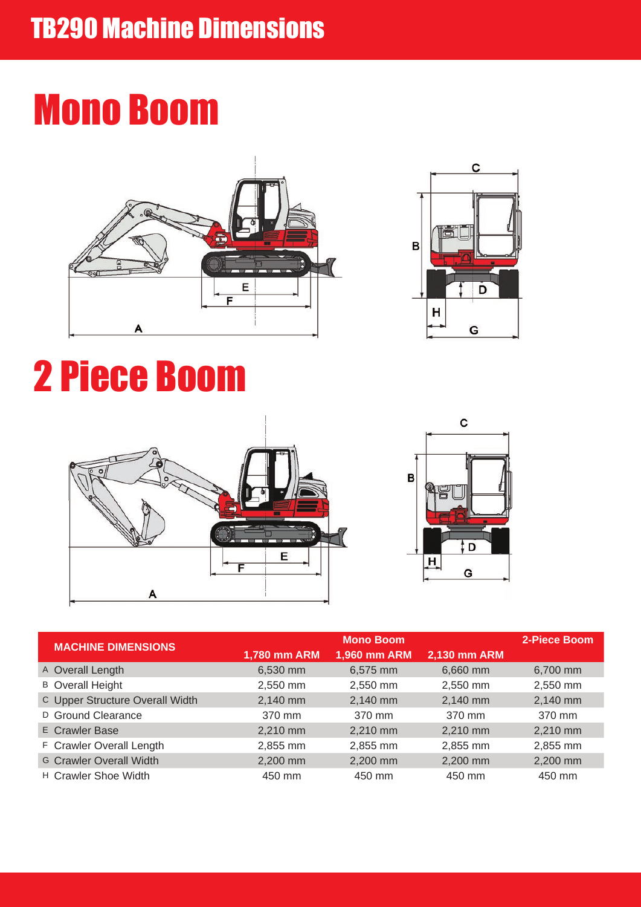## Mono Boom





# 2 Piece Boom



|  | <b>MACHINE DIMENSIONS</b>       | <b>Mono Boom</b> |              |              | 2-Piece Boom |
|--|---------------------------------|------------------|--------------|--------------|--------------|
|  |                                 | 1,780 mm ARM     | 1,960 mm ARM | 2,130 mm ARM |              |
|  | A Overall Length                | 6,530 mm         | 6,575 mm     | 6,660 mm     | 6,700 mm     |
|  | <b>B</b> Overall Height         | 2,550 mm         | 2,550 mm     | 2,550 mm     | 2,550 mm     |
|  | C Upper Structure Overall Width | 2,140 mm         | 2,140 mm     | 2,140 mm     | 2,140 mm     |
|  | D Ground Clearance              | 370 mm           | 370 mm       | 370 mm       | 370 mm       |
|  | <b>E</b> Crawler Base           | 2,210 mm         | 2,210 mm     | 2,210 mm     | 2,210 mm     |
|  | F Crawler Overall Length        | 2,855 mm         | 2,855 mm     | 2,855 mm     | 2,855 mm     |
|  | <b>G Crawler Overall Width</b>  | 2,200 mm         | 2,200 mm     | 2,200 mm     | 2,200 mm     |
|  | H Crawler Shoe Width            | 450 mm           | 450 mm       | 450 mm       | 450 mm       |